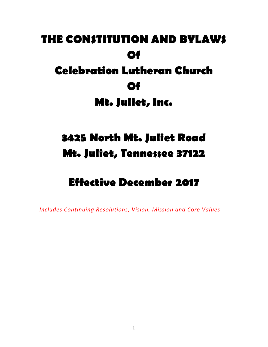# **THE CONSTITUTION AND BYLAWS Of Celebration Lutheran Church Of**

**Mt. Juliet, Inc.** 

## **3425 North Mt. Juliet Road Mt. Juliet, Tennessee 37122**

## **Effective December 2017**

*Includes Continuing Resolutions, Vision, Mission and Core Values*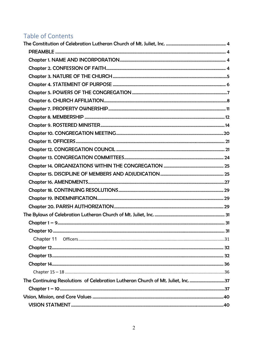## Table of Contents

| The Continuing Resolutions of Celebration Lutheran Church of Mt. Juliet, Inc. 37 |  |
|----------------------------------------------------------------------------------|--|
|                                                                                  |  |
|                                                                                  |  |
|                                                                                  |  |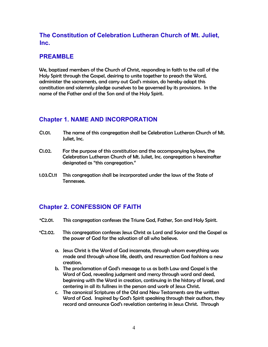## **The Constitution of Celebration Lutheran Church of Mt. Juliet, Inc.**

#### **PREAMBLE**

We, baptized members of the Church of Christ, responding in faith to the call of the Holy Spirit through the Gospel, desiring to unite together to preach the Word, administer the sacraments, and carry out God's mission, do hereby adopt this constitution and solemnly pledge ourselves to be governed by its provisions. In the name of the Father and of the Son and of the Holy Spirit.

## **Chapter 1. NAME AND INCORPORATION**

- C1.01. The name of this congregation shall be Celebration Lutheran Church of Mt. Juliet, Inc.
- C1.02. For the purpose of this constitution and the accompanying bylaws, the Celebration Lutheran Church of Mt. Juliet, Inc. congregation is hereinafter designated as "this congregation."
- 1.03.C1.11 This congregation shall be incorporated under the laws of the State of Tennessee.

## **Chapter 2. CONFESSION OF FAITH**

- \*C2.01. This congregation confesses the Triune God, Father, Son and Holy Spirit.
- \*C2.02. This congregation confesses Jesus Christ as Lord and Savior and the Gospel as the power of God for the salvation of all who believe.
	- a. Jesus Christ is the Word of God incarnate, through whom everything was made and through whose life, death, and resurrection God fashions a new creation.
	- b. The proclamation of God's message to us as both Law and Gospel is the Word of God, revealing judgment and mercy through word and deed, beginning with the Word in creation, continuing in the history of Israel, and centering in all its fullness in the person and work of Jesus Christ.
	- c. The canonical Scriptures of the Old and New Testaments are the written Word of God. Inspired by God's Spirit speaking through their authors, they record and announce God's revelation centering in Jesus Christ. Through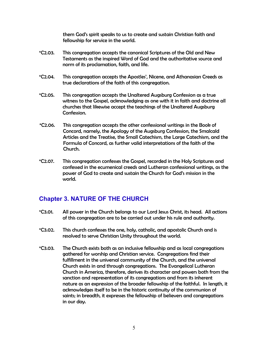them God's spirit speaks to us to create and sustain Christian faith and fellowship for service in the world.

- \*C2.03. This congregation accepts the canonical Scriptures of the Old and New Testaments as the inspired Word of God and the authoritative source and norm of its proclamation, faith, and life.
- \*C2.04. This congregation accepts the Apostles', Nicene, and Athanasian Creeds as true declarations of the faith of this congregation.
- \*C2.05. This congregation accepts the Unaltered Augsburg Confession as a true witness to the Gospel, acknowledging as one with it in faith and doctrine all churches that likewise accept the teachings of the Unaltered Augsburg Confession.
- \*C2.06. This congregation accepts the other confessional writings in the Book of Concord, namely, the Apology of the Augsburg Confession, the Smalcald Articles and the Treatise, the Small Catechism, the Large Catechism, and the Formula of Concord, as further valid interpretations of the faith of the Church.
- \*C2.07. This congregation confesses the Gospel, recorded in the Holy Scriptures and confessed in the ecumenical creeds and Lutheran confessional writings, as the power of God to create and sustain the Church for God's mission in the world.

## **Chapter 3. NATURE OF THE CHURCH**

- \*C3.01. All power in the Church belongs to our Lord Jesus Christ, its head. All actions of this congregation are to be carried out under his rule and authority.
- \*C3.02. This church confesses the one, holy, catholic, and apostolic Church and is resolved to serve Christian Unity throughout the world.
- \*C3.03. The Church exists both as an inclusive fellowship and as local congregations gathered for worship and Christian service. Congregations find their fulfillment in the universal community of the Church, and the universal Church exists in and through congregations. The Evangelical Lutheran Church in America, therefore, derives its character and powers both from the sanction and representation of its congregations and from its inherent nature as an expression of the broader fellowship of the faithful. In length, it acknowledges itself to be in the historic continuity of the communion of saints; in breadth, it expresses the fellowship of believers and congregations in our day.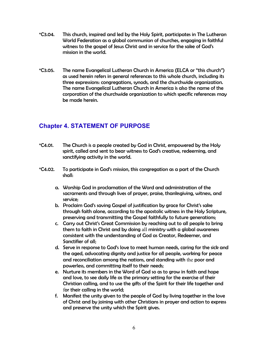- \*C3.04. This church, inspired and led by the Holy Spirit, participates in The Lutheran World Federation as a global communion of churches, engaging in faithful witness to the gospel of Jesus Christ and in service for the sake of God's mission in the world.
- \*C3.05. The name Evangelical Lutheran Church in America (ELCA or "this church") as used herein refers in general references to this whole church, including its three expressions: congregations, synods, and the churchwide organization. The name Evangelical Lutheran Church in America is also the name of the corporation of the churchwide organization to which specific references may be made herein.

## **Chapter 4. STATEMENT OF PURPOSE**

- \*C4.01. The Church is a people created by God in Christ, empowered by the Holy spirit, called and sent to bear witness to God's creative, redeeming, and sanctifying activity in the world.
- \*C4.02. To participate in God's mission, this congregation as a part of the Church shall:
	- a. Worship God in proclamation of the Word and administration of the sacraments and through lives of prayer, praise, thanksgiving, witness, and service;
	- b. Proclaim God's saving Gospel of justification by grace for Christ's sake through faith alone, according to the apostolic witness in the Holy Scripture, preserving and transmitting the Gospel faithfully to future generations;
	- c. Carry out Christ's Great Commission by reaching out to all people to bring them to faith in Christ and by doing all ministry with a global awareness consistent with the understanding of God as Creator, Redeemer, and Sanctifier of all;
	- d. Serve in response to God's love to meet human needs, caring for the sick and the aged, advocating dignity and justice for all people, working for peace and reconciliation among the nations, and standing with the poor and powerless, and committing itself to their needs;
	- e. Nurture its members in the Word of God so as to grow in faith and hope and love, to see daily life as the primary setting for the exercise of their Christian calling, and to use the gifts of the Spirit for their life together and for their calling in the world;
	- f. Manifest the unity given to the people of God by living together in the love of Christ and by joining with other Christians in prayer and action to express and preserve the unity which the Spirit gives.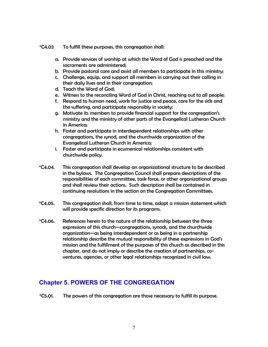- \*C4.03 To fulfill these purposes, this congregation shall:
	- a. Provide services of worship at which the Word of God is preached and the sacraments are administered;
	- b. Provide pastoral care and assist all members to participate in this ministry;
	- c. Challenge, equip, and support all members in carrying out their calling in their daily lives and in their congregation;
	- d. Teach the Word of God;
	- e. Witness to the reconciling Word of God in Christ, reaching out to all people;
	- f. Respond to human need, work for justice and peace, care for the sick and the suffering, and participate responsibly in society;
	- g. Motivate its members to provide financial support for the congregation's ministry and the ministry of other parts of the Evangelical Lutheran Church in America;
	- h. Foster and participate in interdependent relationships with other congregations, the synod, and the churchwide organization of the Evangelical Lutheran Church in America;
	- i. Foster and participate in ecumenical relationships consistent with churchwide policy.
- \*C4.04. This congregation shall develop an organizational structure to be described in the bylaws. The Congregation Council shall prepare descriptions of the responsibilities of each committee, task force, or other organizational groups and shall review their actions. Such description shall be contained in continuing resolutions in the section on the Congregation Committees.
- \*C4.05. This congregation shall, from time to time, adopt a mission statement which will provide specific direction for its programs.
- \*C4.06. References herein to the nature of the relationship between the three expressions of this church—congregations, synods, and the churchwide organization—as being interdependent or as being in a partnership relationship describe the mutual responsibility of these expressions in God's mission and the fulfillment of the purposes of this church as described in this chapter, and do not imply or describe the creation of partnerships, coventures, agencies, or other legal relationships recognized in civil law.

## **Chapter 5. POWERS OF THE CONGREGATION**

\*C5.01. The powers of this congregation are those necessary to fulfill its purpose.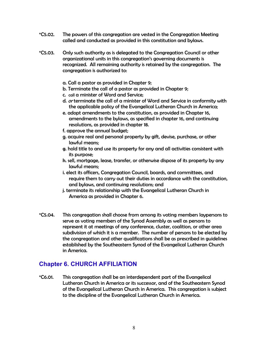- \*C5.02. The powers of this congregation are vested in the Congregation Meeting called and conducted as provided in this constitution and bylaws.
- \*C5.03. Only such authority as is delegated to the Congregation Council or other organizational units in this congregation's governing documents is recognized. All remaining authority is retained by the congregation. The congregation is authorized to:
	- a. Call a pastor as provided in Chapter 9;
	- b. Terminate the call of a pastor as provided in Chapter 9;
	- c. call a minister of Word and Service;
	- d. or terminate the call of a minister of Word and Service in conformity with the applicable policy of the Evangelical Lutheran Church in America;
	- e. adopt amendments to the constitution, as provided in Chapter 16, amendments to the bylaws, as specified in chapter 16, and continuing resolutions, as provided in chapter 18.
	- f. approve the annual budget;
	- g. acquire real and personal property by gift, devise, purchase, or other lawful means;
	- g. hold title to and use its property for any and all activities consistent with its purpose;
	- h. sell, mortgage, lease, transfer, or otherwise dispose of its property by any lawful means;
	- i. elect its officers, Congregation Council, boards, and committees, and require them to carry out their duties in accordance with the constitution, and bylaws, and continuing resolutions; and
	- j. terminate its relationship with the Evangelical Lutheran Church in America as provided in Chapter 6.
- \*C5.04. This congregation shall choose from among its voting members laypersons to serve as voting members of the Synod Assembly as well as persons to represent it at meetings of any conference, cluster, coalition, or other area subdivision of which it is a member. The number of persons to be elected by the congregation and other qualifications shall be as prescribed in guidelines established by the Southeastern Synod of the Evangelical Lutheran Church in America.

## **Chapter 6. CHURCH AFFILIATION**

\*C6.01. This congregation shall be an interdependent part of the Evangelical Lutheran Church in America or its successor, and of the Southeastern Synod of the Evangelical Lutheran Church in America. This congregation is subject to the discipline of the Evangelical Lutheran Church in America.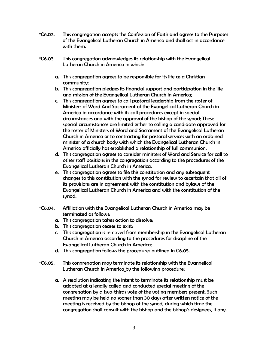- \*C6.02. This congregation accepts the Confession of Faith and agrees to the Purposes of the Evangelical Lutheran Church in America and shall act in accordance with them.
- \*C6.03. This congregation acknowledges its relationship with the Evangelical Lutheran Church in America in which:
	- a. This congregation agrees to be responsible for its life as a Christian community;
	- b. This congregation pledges its financial support and participation in the life and mission of the Evangelical Lutheran Church in America;
	- c. This congregation agrees to call pastoral leadership from the roster of Ministers of Word And Sacrament of the Evangelical Lutheran Church in America in accordance with its call procedures except in special circumstances and with the approval of the bishop of the synod; These special circumstances are limited either to calling a candidate approved for the roster of Ministers of Word and Sacrament of the Evangelical Lutheran Church in America or to contracting for pastoral services with an ordained minister of a church body with which the Evangelical Lutheran Church in America officially has established a relationship of full communion.
	- d. This congregation agrees to consider ministers of Word and Service for call to other staff positions in the congregation according to the procedures of the Evangelical Lutheran Church in America.
	- e. This congregation agrees to file this constitution and any subsequent changes to this constitution with the synod for review to ascertain that all of its provisions are in agreement with the constitution and bylaws of the Evangelical Lutheran Church in America and with the constitution of the synod.
- \*C6.04. Affiliation with the Evangelical Lutheran Church in America may be terminated as follows:
	- a. This congregation takes action to dissolve;
	- b. This congregation ceases to exist;
	- c. This congregation is removed from membership in the Evangelical Lutheran Church in America according to the procedures for discipline of the Evangelical Lutheran Church in America;
	- d. This congregation follows the procedures outlined in C6.05.
- \*C6.05. This congregation may terminate its relationship with the Evangelical Lutheran Church in America by the following procedure:
	- a. A resolution indicating the intent to terminate its relationship must be adopted at a legally called and conducted special meeting of the congregation by a two-thirds vote of the voting members present. Such meeting may be held no sooner than 30 days after written notice of the meeting is received by the bishop of the synod, during which time the congregation shall consult with the bishop and the bishop's designees, if any.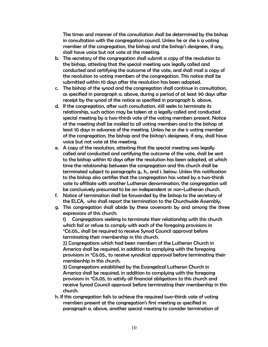The times and manner of the consultation shall be determined by the bishop in consultation with the congregation council. Unless he or she is a voting member of the congregation, the bishop and the bishop's designees, if any, shall have voice but not vote at the meeting.

- b. The secretary of the congregation shall submit a copy of the resolution to the bishop, attesting that the special meeting was legally called and conducted and certifying the outcome of the vote, and shall mail a copy of the resolution to voting members of the congregation. This notice shall be submitted within 10 days after the resolution has been adopted.
- c. The bishop of the synod and the congregation shall continue in consultation, as specified in paragraph a. above, during a period of at least 90 days after receipt by the synod of the notice as specified in paragraph b. above.
- d. If the congregation, after such consultation, still seeks to terminate its relationship, such action may be taken at a legally called and conducted special meeting by a two-thirds vote of the voting members present. Notice of the meeting shall be mailed to all voting members and to the bishop at least 10 days in advance of the meeting. Unless he or she is voting member of the congregation, the bishop and the bishop's designees, if any, shall have voice but not vote at the meeting.
- e. A copy of the resolution, attesting that the special meeting was legally called and conducted and certifying the outcome of the vote, shall be sent to the bishop within 10 days after the resolution has been adopted, at which time the relationship between the congregation and this church shall be terminated subject to paragraphs g., h., and i. below. Unless this notification to the bishop also certifies that the congregation has voted by a two-thirds vote to affiliate with another Lutheran denomination, the congregation will be conclusively presumed to be an independent or non-Lutheran church.
- f. Notice of termination shall be forwarded by the bishop to the secretary of the ELCA, who shall report the termination to the Churchwide Assembly.
- g. This congregation shall abide by these covenants by and among the three expressions of this church:

1) Congregations seeking to terminate their relationship with this church which fail or refuse to comply with each of the foregoing provisions in \*C6.05., shall be required to receive Synod Council approval before terminating their membership in this church.

2) Congregations which had been members of the Lutheran Church in America shall be required, in addition to complying with the foregoing provisions in \*C6.05., to receive synodical approval before terminating their membership in this church.

3) Congregations established by the Evangelical Lutheran Church in America shall be required, in addition to complying with the foregoing provisions in \*C6.05, to satisfy all financial obligations to this church and receive Synod Council approval before terminating their membership in this church.

h. If this congregation fails to achieve the required two-thirds vote of voting members present at the congregation's first meeting as specified in paragraph a. above, another special meeting to consider termination of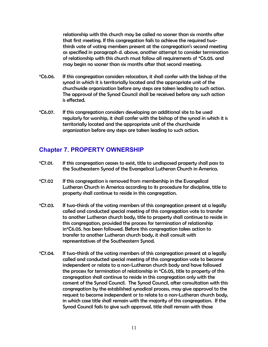relationship with this church may be called no sooner than six months after that first meeting. If this congregation fails to achieve the required twothirds vote of voting members present at the congregation's second meeting as specified in paragraph d. above, another attempt to consider termination of relationship with this church must follow all requirements of \*C6.05. and may begin no sooner than six months after that second meeting.

- \*C6.06. If this congregation considers relocation, it shall confer with the bishop of the synod in which it is territorially located and the appropriate unit of the churchwide organization before any steps are taken leading to such action. The approval of the Synod Council shall be received before any such action is effected.
- \*C6.07. If this congregation considers developing an additional site to be used regularly for worship, it shall confer with the bishop of the synod in which it is territorially located and the appropriate unit of the churchwide organization before any steps are taken leading to such action.

## **Chapter 7. PROPERTY OWNERSHIP**

- \*C7.01. If this congregation ceases to exist, title to undisposed property shall pass to the Southeastern Synod of the Evangelical Lutheran Church in America.
- \*C7.02 If this congregation is removed from membership in the Evangelical Lutheran Church in America according to its procedure for discipline, title to property shall continue to reside in this congregation.
- \*C7.03. If two-thirds of the voting members of this congregation present at a legally called and conducted special meeting of this congregation vote to transfer to another Lutheran church body, title to property shall continue to reside in this congregation, provided the process for termination of relationship in\*C6.05. has been followed. Before this congregation takes action to transfer to another Lutheran church body, it shall consult with representatives of the Southeastern Synod.
- \*C7.04. If two-thirds of the voting members of this congregation present at a legally called and conducted special meeting of this congregation vote to become independent or relate to a non-Lutheran church body and have followed the process for termination of relationship in \*C6.05, title to property of this congregation shall continue to reside in this congregation only with the consent of the Synod Council. The Synod Council, after consultation with this congregation by the established synodical process, may give approval to the request to become independent or to relate to a non-Lutheran church body, in which case title shall remain with the majority of this congregation. If the Synod Council fails to give such approval, title shall remain with those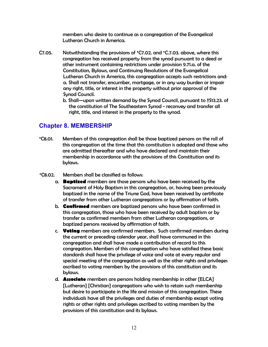members who desire to continue as a congregation of the Evangelical Lutheran Church in America.

- C7.05. Notwithstanding the provisions of \*C7.02. and \*C.7.03. above, where this congregation has received property from the synod pursuant to a deed or other instrument containing restrictions under provision 9.71.a. of the Constitution, Bylaws, and Continuing Resolutions of the Evangelical Lutheran Church in America, this congregation accepts such restrictions and: a. Shall not transfer, encumber, mortgage, or in any way burden or impair any right, title, or interest in the property without prior approval of the Synod Council.
	- b. Shall—upon written demand by the Synod Council, pursuant to †S13.23. of the constitution of The Southeastern Synod - reconvey and transfer all right, title, and interest in the property to the synod.

## **Chapter 8. MEMBERSHIP**

- \*C8.01. Members of this congregation shall be those baptized persons on the roll of this congregation at the time that this constitution is adopted and those who are admitted thereafter and who have declared and maintain their membership in accordance with the provisions of this Constitution and its bylaws.
- \*C8.02. Members shall be classified as follows:
	- a. **Baptized** members are those persons who have been received by the Sacrament of Holy Baptism in this congregation, or, having been previously baptized in the name of the Triune God, have been received by certificate of transfer from other Lutheran congregations or by affirmation of faith.
	- b. **Confirmed** members are baptized persons who have been confirmed in this congregation, those who have been received by adult baptism or by transfer as confirmed members from other Lutheran congregations, or baptized persons received by affirmation of faith.
	- c. **Voting** members are confirmed members. Such confirmed members during the current or preceding calendar year, shall have communed in this congregation and shall have made a contribution of record to this congregation. Members of this congregation who have satisfied these basic standards shall have the privilege of voice and vote at every regular and special meeting of the congregation as well as the other rights and privileges ascribed to voting members by the provisions of this constitution and its bylaws.
	- d. **Associate** members are persons holding membership in other [ELCA] [Lutheran] [Christian] congregations who wish to retain such membership but desire to participate in the life and mission of this congregation. These individuals have all the privileges and duties of membership except voting rights or other rights and privileges ascribed to voting members by the provisions of this constitution and its bylaws.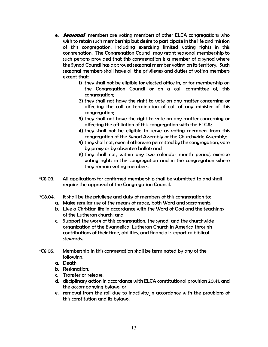- e. **Seasonal** members are voting members of other ELCA congregations who wish to retain such membership but desire to participate in the life and mission of this congregation, including exercising limited voting rights in this congregation. The Congregation Council may grant seasonal membership to such persons provided that this congregation is a member of a synod where the Synod Council has approved seasonal member voting on its territory. Such seasonal members shall have all the privileges and duties of voting members except that:
	- 1) they shall not be eligible for elected office in, or for membership on the Congregation Council or on a call committee of, this congregation;
	- 2) they shall not have the right to vote on any matter concerning or affecting the call or termination of call of any minister of this congregation;
	- 3) they shall not have the right to vote on any matter concerning or affecting the affiliation of this congregation with the ELCA;
	- 4) they shall not be eligible to serve as voting members from this congregation of the Synod Assembly or the Churchwide Assembly;
	- 5) they shall not, even if otherwise permitted by this congregation, vote by proxy or by absentee ballot; and
	- 6) they shall not, within any two calendar month period, exercise voting rights in this congregation and in the congregation where they remain voting members.
- \*C8.03. All applications for confirmed membership shall be submitted to and shall require the approval of the Congregation Council.
- \*C8.04. It shall be the privilege and duty of members of this congregation to:
	- a. Make regular use of the means of grace, both Word and sacraments;
	- b. Live a Christian life in accordance with the Word of God and the teachings of the Lutheran church; and
	- c. Support the work of this congregation, the synod, and the churchwide organization of the Evangelical Lutheran Church in America through contributions of their time, abilities, and financial support as biblical stewards.
- \*C8.05. Membership in this congregation shall be terminated by any of the following:
	- a. Death;
	- b. Resignation;
	- c. Transfer or release;
	- d. disciplinary action in accordance with ELCA constitutional provision 20.41. and the accompanying bylaws; or
	- e. removal from the roll due to inactivity in accordance with the provisions of this constitution and its bylaws.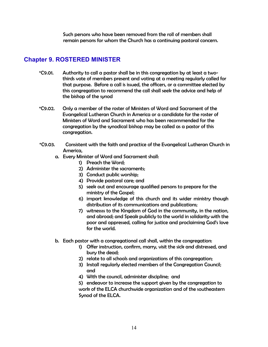Such persons who have been removed from the roll of members shall remain persons for whom the Church has a continuing pastoral concern.

## **Chapter 9. ROSTERED MINISTER**

- \*C9.01. Authority to call a pastor shall be in this congregation by at least a twothirds vote of members present and voting at a meeting regularly called for that purpose. Before a call is issued, the officers, or a committee elected by this congregation to recommend the call shall seek the advice and help of the bishop of the synod
- \*C9.02. Only a member of the roster of Ministers of Word and Sacrament of the Evangelical Lutheran Church in America or a candidate for the roster of Ministers of Word and Sacrament who has been recommended for the congregation by the synodical bishop may be called as a pastor of this congregation.
- \*C9.03. Consistent with the faith and practice of the Evangelical Lutheran Church in America,
	- a. Every Minister of Word and Sacrament shall:
		- 1) Preach the Word;
		- 2) Administer the sacraments;
		- 3) Conduct public worship;
		- 4) Provide pastoral care; and
		- 5) seek out and encourage qualified persons to prepare for the ministry of the Gospel;
		- 6) impart knowledge of this church and its wider ministry though distribution of its communications and publications;
		- 7) witnessss to the Kingdom of God in the community, in the nation, and abroad; and Speak publicly to the world in solidarity with the poor and oppressed, calling for justice and proclaiming God's love for the world.
	- b. Each pastor with a congregational call shall, within the congregation:
		- 1) Offer instruction, confirm, marry, visit the sick and distressed, and bury the dead;
		- 2) relate to all schools and organizations of this congregation;
		- 3) Install regularly elected members of the Congregation Council; and
		- 4) With the council, administer discipline; and
		- 5) endeavor to increase the support given by the congregation to work of the ELCA churchwide organization and of the southeastern Synod of the ELCA.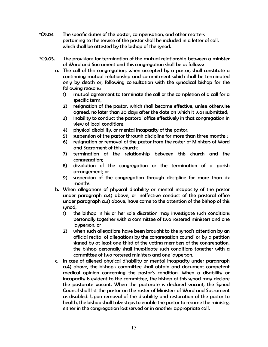- \*C9.04 The specific duties of the pastor, compensation, and other matters pertaining to the service of the pastor shall be included in a letter of call, which shall be attested by the bishop of the synod.
- \*C9.05. The provisions for termination of the mutual relationship between a minister of Word and Sacrament and this congregation shall be as follows:
	- a. The call of this congregation, when accepted by a pastor, shall constitute a continuing mutual relationship and commitment which shall be terminated only by death or, following consultation with the synodical bishop for the following reasons:
		- 1) mutual agreement to terminate the call or the completion of a call for a specific term;
		- 2) resignation of the pastor, which shall become effective, unless otherwise agreed, no later than 30 days after the date on which it was submitted;
		- 3) inability to conduct the pastoral office effectively in that congregation in view of local conditions;
		- 4) physical disability, or mental incapacity of the pastor;
		- 5) suspension of the pastor through discipline for more than three months ;
		- 6) resignation or removal of the pastor from the roster of Ministers of Word and Sacrament of this church;
		- 7) termination of the relationship between this church and the congregation;
		- 8) dissolution of the congregation or the termination of a parish arrangement; or
		- 9) suspension of the congregation through discipline for more than six months.
	- b. When allegations of physical disability or mental incapacity of the pastor under paragraph a.4) above, or ineffective conduct of the pastoral office under paragraph a.3) above, have come to the attention of the bishop of this synod,
		- 1) the bishop in his or her sole discretion may investigate such conditions personally together with a committee of two rostered ministers and one layperson, or
		- 2) when such allegations have been brought to the synod's attention by an official recital of allegations by the congregation council or by a petition signed by at least one-third of the voting members of the congregation, the bishop personally shall investigate such conditions together with a committee of two rostered ministers and one layperson.
	- c. In case of alleged physical disability or mental incapacity under paragraph a.4) above, the bishop's committee shall obtain and document competent medical opinion concerning the pastor's condition. When a disability or incapacity is evident to the committee, the bishop of this synod may declare the pastorate vacant. When the pastorate is declared vacant, the Synod Council shall list the pastor on the roster of Ministers of Word and Sacrament as disabled. Upon removal of the disability and restoration of the pastor to health, the bishop shall take steps to enable the pastor to resume the ministry, either in the congregation last served or in another appropriate call.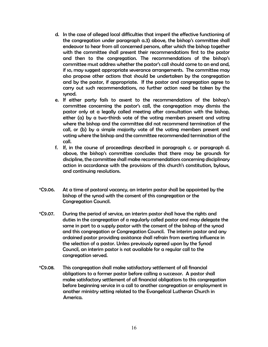- d. In the case of alleged local difficulties that imperil the effective functioning of the congregation under paragraph a.3) above, the bishop's committee shall endeavor to hear from all concerned persons, after which the bishop together with the committee shall present their recommendations first to the pastor and then to the congregation. The recommendations of the bishop's committee must address whether the pastor's call should come to an end and, if so, may suggest appropriate severance arrangements. The committee may also propose other actions that should be undertaken by the congregation and by the pastor, if appropriate. If the pastor and congregation agree to carry out such recommendations, no further action need be taken by the synod.
- e. If either party fails to assent to the recommendations of the bishop's committee concerning the pastor's call, the congregation may dismiss the pastor only at a legally called meeting after consultation with the bishop, either (a) by a two-thirds vote of the voting members present and voting where the bishop and the committee did not recommend termination of the call, or (b) by a simple majority vote of the voting members present and voting where the bishop and the committee recommended termination of the call.
- f. If, in the course of proceedings described in paragraph c. or paragraph d. above, the bishop's committee concludes that there may be grounds for discipline, the committee shall make recommendations concerning disciplinary action in accordance with the provisions of this church's constitution, bylaws, and continuing resolutions.
- \*C9.06. At a time of pastoral vacancy, an interim pastor shall be appointed by the bishop of the synod with the consent of this congregation or the Congregation Council.
- \*C9.07. During the period of service, an interim pastor shall have the rights and duties in the congregation of a regularly called pastor and may delegate the same in part to a supply pastor with the consent of the bishop of the synod and this congregation or Congregation Council. The interim pastor and any ordained pastor providing assistance shall refrain from exerting influence in the selection of a pastor. Unless previously agreed upon by the Synod Council, an interim pastor is not available for a regular call to the congregation served.
- \*C9.08. This congregation shall make satisfactory settlement of all financial obligations to a former pastor before calling a successor. A pastor shall make satisfactory settlement of all financial obligations to this congregation before beginning service in a call to another congregation or employment in another ministry setting related to the Evangelical Lutheran Church in America.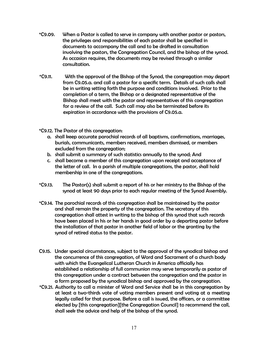- \*C9.09. When a Pastor is called to serve in company with another pastor or pastors, the privileges and responsibilities of each pastor shall be specified in documents to accompany the call and to be drafted in consultation involving the pastors, the Congregation Council, and the bishop of the synod. As occasion requires, the documents may be revised through a similar consultation.
- \*C9.11. With the approval of the Bishop of the Synod, the congregation may depart from C9.05.a. and call a pastor for a specific term. Details of such calls shall be in writing setting forth the purpose and conditions involved. Prior to the completion of a term, the Bishop or a designated representative of the Bishop shall meet with the pastor and representatives of this congregation for a review of the call. Such call may also be terminated before its expiration in accordance with the provisions of C9.05.a.
- \*C9.12. The Pastor of this congregation:
	- a. shall keep accurate parochial records of all baptisms, confirmations, marriages, burials, communicants, members received, members dismissed, or members excluded from the congregation;
	- b. shall submit a summary of such statistics annually to the synod; And
	- c. shall become a member of this congregation upon receipt and acceptance of the letter of call. In a parish of multiple congregations, the pastor, shall hold membership in one of the congregations.
- \*C9.13. The Pastor(s) shall submit a report of his or her ministry to the Bishop of the synod at least 90 days prior to each regular meeting of the Synod Assembly.
- \*C9.14. The parochial records of this congregation shall be maintained by the pastor and shall remain the property of the congregation. The secretary of this congregation shall attest in writing to the bishop of this synod that such records have been placed in his or her hands in good order by a departing pastor before the installation of that pastor in another field of labor or the granting by the synod of retired status to the pastor.
- C9.15. Under special circumstances, subject to the approval of the synodical bishop and the concurrence of this congregation, of Word and Sacrament of a church body with which the Evangelical Lutheran Church in America officially has established a relationship of full communion may serve temporarily as pastor of this congregation under a contract between the congregation and the pastor in a form proposed by the synodical bishop and approved by the congregation.
- \*C9.21. Authority to call a minister of Word and Service shall be in this congregation by at least a two-thirds vote of voting members present and voting at a meeting legally called for that purpose. Before a call is issued, the officers, or a committee elected by [this congregation][the Congregation Council] to recommend the call, shall seek the advice and help of the bishop of the synod.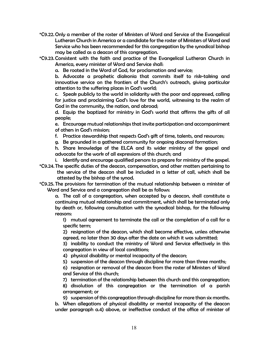- \*C9.22. Only a member of the roster of Ministers of Word and Service of the Evangelical Lutheran Church in America or a candidate for the roster of Ministers of Word and Service who has been recommended for this congregation by the synodical bishop may be called as a deacon of this congregation.
- \*C9.23. Consistent with the faith and practice of the Evangelical Lutheran Church in America, every minister of Word and Service shall:

a. Be rooted in the Word of God, for proclamation and service;

 b. Advocate a prophetic diakonia that commits itself to risk-taking and innovative service on the frontiers of the Church's outreach, giving particular attention to the suffering places in God's world;

 c. Speak publicly to the world in solidarity with the poor and oppressed, calling for justice and proclaiming God's love for the world, witnessing to the realm of God in the community, the nation, and abroad;

 d. Equip the baptized for ministry in God's world that affirms the gifts of all people;

 e. Encourage mutual relationships that invite participation and accompaniment of others in God's mission;

- f. Practice stewardship that respects God's gift of time, talents, and resources;
- g. Be grounded in a gathered community for ongoing diaconal formation;

 h. Share knowledge of the ELCA and its wider ministry of the gospel and advocate for the work of all expressions of this church; and

- i. Identify and encourage qualified persons to prepare for ministry of the gospel.
- \*C9.24. The specific duties of the deacon, compensation, and other matters pertaining to the service of the deacon shall be included in a letter of call, which shall be attested by the bishop of the synod.
- \*C9.25. The provisions for termination of the mutual relationship between a minister of Word and Service and a congregation shall be as follows:

 a. The call of a congregation, when accepted by a deacon, shall constitute a continuing mutual relationship and commitment, which shall be terminated only by death or, following consultation with the synodical bishop, for the following reasons:

 1) mutual agreement to terminate the call or the completion of a call for a specific term;

 2) resignation of the deacon, which shall become effective, unless otherwise agreed, no later than 30 days after the date on which it was submitted;

 3) inability to conduct the ministry of Word and Service effectively in this congregation in view of local conditions;

4) physical disability or mental incapacity of the deacon;

5) suspension of the deacon through discipline for more than three months;

 6) resignation or removal of the deacon from the roster of Ministers of Word and Service of this church;

 7) termination of the relationship between this church and this congregation; 8) dissolution of this congregation or the termination of a parish arrangement; or

 9) suspension of this congregation through discipline for more than six months. b. When allegations of physical disability or mental incapacity of the deacon under paragraph a.4) above, or ineffective conduct of the office of minister of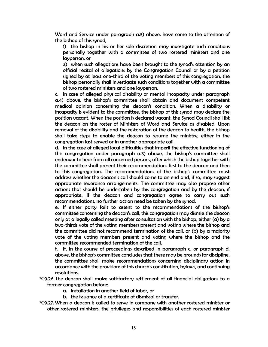Word and Service under paragraph a.3) above, have come to the attention of the bishop of this synod,

 1) the bishop in his or her sole discretion may investigate such conditions personally together with a committee of two rostered ministers and one layperson, or

 2) when such allegations have been brought to the synod's attention by an official recital of allegations by the Congregation Council or by a petition signed by at least one-third of the voting members of this congregation, the bishop personally shall investigate such conditions together with a committee of two rostered ministers and one layperson.

 c. In case of alleged physical disability or mental incapacity under paragraph a.4) above, the bishop's committee shall obtain and document competent medical opinion concerning the deacon's condition. When a disability or incapacity is evident to the committee, the bishop of this synod may declare the position vacant. When the position is declared vacant, the Synod Council shall list the deacon on the roster of Ministers of Word and Service as disabled. Upon removal of the disability and the restoration of the deacon to health, the bishop shall take steps to enable the deacon to resume the ministry, either in the congregation last served or in another appropriate call.

 d. In the case of alleged local difficulties that imperil the effective functioning of this congregation under paragraph a.3) above, the bishop's committee shall endeavor to hear from all concerned persons, after which the bishop together with the committee shall present their recommendations first to the deacon and then to this congregation. The recommendations of the bishop's committee must address whether the deacon's call should come to an end and, if so, may suggest appropriate severance arrangements. The committee may also propose other actions that should be undertaken by this congregation and by the deacon, if appropriate. If the deacon and congregation agree to carry out such recommendations, no further action need be taken by the synod.

 e. If either party fails to assent to the recommendations of the bishop's committee concerning the deacon's call, this congregation may dismiss the deacon only at a legally called meeting after consultation with the bishop, either (a) by a two-thirds vote of the voting members present and voting where the bishop and the committee did not recommend termination of the call, or (b) by a majority vote of the voting members present and voting where the bishop and the committee recommended termination of the call.

 f. If, in the course of proceedings described in paragraph c. or paragraph d. above, the bishop's committee concludes that there may be grounds for discipline, the committee shall make recommendations concerning disciplinary action in accordance with the provisions of this church's constitution, bylaws, and continuing resolutions.

- \*C9.26. The deacon shall make satisfactory settlement of all financial obligations to a former congregation before:
	- a. installation in another field of labor, or
	- b. the issuance of a certificate of dismissal or transfer.
- \*C9.27. When a deacon is called to serve in company with another rostered minister or other rostered ministers, the privileges and responsibilities of each rostered minister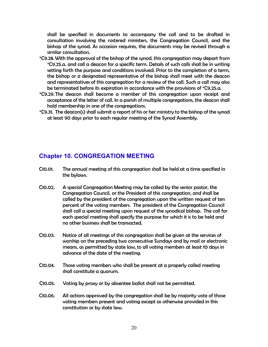shall be specified in documents to accompany the call and to be drafted in consultation involving the rostered ministers, the Congregation Council, and the bishop of the synod. As occasion requires, the documents may be revised through a similar consultation.

- \*C9.28. With the approval of the bishop of the synod, this congregation may depart from \*C9.25.a. and call a deacon for a specific term. Details of such calls shall be in writing setting forth the purpose and conditions involved. Prior to the completion of a term, the bishop or a designated representative of the bishop shall meet with the deacon and representatives of this congregation for a review of the call. Such a call may also be terminated before its expiration in accordance with the provisions of \*C9.25.a.
- \*C9.29. The deacon shall become a member of this congregation upon receipt and acceptance of the letter of call. In a parish of multiple congregations, the deacon shall hold membership in one of the congregations.
- \*C9.31. The deacon(s) shall submit a report of his or her ministry to the bishop of the synod at least 90 days prior to each regular meeting of the Synod Assembly.

#### **Chapter 10. CONGREGATION MEETING**

- C10.01. The annual meeting of this congregation shall be held at a time specified in the bylaws.
- C10.02. A special Congregation Meeting may be called by the senior pastor, the Congregation Council, or the President of this congregation, and shall be called by the president of the congregation upon the written request of ten percent of the voting members. The president of the Congregation Council shall call a special meeting upon request of the synodical bishop. The call for each special meeting shall specify the purpose for which it is to be held and no other business shall be transacted.
- C10.03. Notice of all meetings of this congregation shall be given at the services of worship on the preceding two consecutive Sundays and by mail or electronic means, as permitted by state law, to all voting members at least 10 days in advance of the date of the meeting.
- C10.04. Those voting members who shall be present at a properly called meeting shall constitute a quorum.
- C10.05. Voting by proxy or by absentee ballot shall not be permitted.
- C10.06. All actions approved by the congregation shall be by majority vote of those voting members present and voting except as otherwise provided in this constitution or by state law.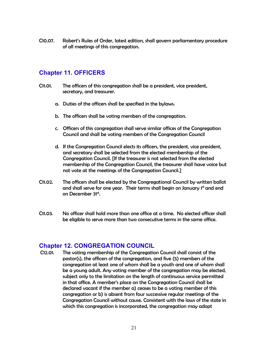C10.07. Robert's Rules of Order, latest edition, shall govern parliamentary procedure of all meetings of this congregation.

## **Chapter 11. OFFICERS**

- C11.01. The officers of this congregation shall be a president, vice president, secretary, and treasurer.
	- a. Duties of the officers shall be specified in the bylaws.
	- b. The officers shall be voting members of the congregation.
	- c. Officers of this congregation shall serve similar offices of the Congregation Council and shall be voting members of the Congregation Council
	- d. If the Congregation Council elects its officers, the president, vice president, and secretary shall be selected from the elected membership of the Congregation Council. [If the treasurer is not selected from the elected membership of the Congregation Council, the treasurer shall have voice but not vote at the meetings of the Congregation Council.]
- C11.02. The officers shall be elected by the Congregational Council by written ballot and shall serve for one year. Their terms shall begin on January 1st and end on December 31st.
- C11.03. No officer shall hold more than one office at a time. No elected officer shall be eligible to serve more than two consecutive terms in the same office.

#### **Chapter 12. CONGREGATION COUNCIL**

C12.01. The voting membership of the Congregation Council shall consist of the pastor(s), the officers of the congregation, and five (5) members of the congregation at least one of whom shall be a youth and one of whom shall be a young adult. Any voting member of the congregation may be elected, subject only to the limitation on the length of continuous service permitted in that office. A member's place on the Congregation Council shall be declared vacant if the member a) ceases to be a voting member of this congregation or b) is absent from four successive regular meetings of the Congregation Council without cause. Consistent with the laws of the state in which this congregation is incorporated, the congregation may adopt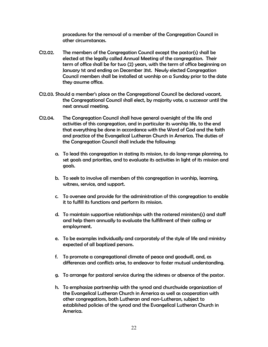procedures for the removal of a member of the Congregation Council in other circumstances.

- C12.02. The members of the Congregation Council except the pastor(s) shall be elected at the legally called Annual Meeting of the congregation. Their term of office shall be for two (2) years, with the term of office beginning on January 1st and ending on December 31st. Newly elected Congregation Council members shall be installed at worship on a Sunday prior to the date they assume office.
- C12.03. Should a member's place on the Congregational Council be declared vacant, the Congregational Council shall elect, by majority vote, a successor until the next annual meeting.
- C12.04. The Congregation Council shall have general oversight of the life and activities of this congregation, and in particular its worship life, to the end that everything be done in accordance with the Word of God and the faith and practice of the Evangelical Lutheran Church in America. The duties of the Congregation Council shall include the following:
	- a. To lead this congregation in stating its mission, to do long-range planning, to set goals and priorities, and to evaluate its activities in light of its mission and goals.
	- b. To seek to involve all members of this congregation in worship, learning, witness, service, and support.
	- c. To oversee and provide for the administration of this congregation to enable it to fulfill its functions and perform its mission.
	- d. To maintain supportive relationships with the rostered ministers(s) and staff and help them annually to evaluate the fulfillment of their calling or employment.
	- e. To be examples individually and corporately of the style of life and ministry expected of all baptized persons.
	- f. To promote a congregational climate of peace and goodwill, and, as differences and conflicts arise, to endeavor to foster mutual understanding.
	- g. To arrange for pastoral service during the sickness or absence of the pastor.
	- h. To emphasize partnership with the synod and churchwide organization of the Evangelical Lutheran Church in America as well as cooperation with other congregations, both Lutheran and non-Lutheran, subject to established policies of the synod and the Evangelical Lutheran Church in America.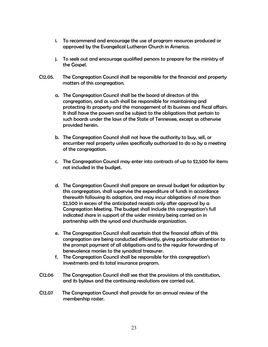- i. To recommend and encourage the use of program resources produced or approved by the Evangelical Lutheran Church in America.
- j. To seek out and encourage qualified persons to prepare for the ministry of the Gospel.
- C12.05. The Congregation Council shall be responsible for the financial and property matters of this congregation.
	- a. The Congregation Council shall be the board of directors of this congregation, and as such shall be responsible for maintaining and protecting its property and the management of its business and fiscal affairs. It shall have the powers and be subject to the obligations that pertain to such boards under the laws of the State of Tennessee, except as otherwise provided herein.
	- b. The Congregation Council shall not have the authority to buy, sell, or encumber real property unless specifically authorized to do so by a meeting of the congregation.
	- c. The Congregation Council may enter into contracts of up to \$2,500 for items not included in the budget.
	- d. The Congregation Council shall prepare an annual budget for adoption by this congregation, shall supervise the expenditure of funds in accordance therewith following its adoption, and may incur obligations of more than \$2,500 in excess of the anticipated receipts only after approval by a Congregation Meeting. The budget shall include this congregation's full indicated share in support of the wider ministry being carried on in partnership with the synod and churchwide organization.
	- e. The Congregation Council shall ascertain that the financial affairs of this congregation are being conducted efficiently, giving particular attention to the prompt payment of all obligations and to the regular forwarding of benevolence monies to the synodical treasurer.
	- f. The Congregation Council shall be responsible for this congregation's investments and its total insurance program.
- C12.06 The Congregation Council shall see that the provisions of this constitution, and its bylaws and the continuing resolutions are carried out.
- C12.07 The Congregation Council shall provide for an annual review of the membership roster.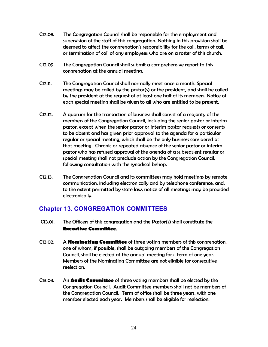- C12.08. The Congregation Council shall be responsible for the employment and supervision of the staff of this congregation. Nothing in this provision shall be deemed to affect the congregation's responsibility for the call, terms of call, or termination of call of any employees who are on a roster of this church.
- C12.09. The Congregation Council shall submit a comprehensive report to this congregation at the annual meeting.
- C12.11. The Congregation Council shall normally meet once a month. Special meetings may be called by the pastor(s) or the president, and shall be called by the president at the request of at least one half of its members. Notice of each special meeting shall be given to all who are entitled to be present.
- C12.12. A quorum for the transaction of business shall consist of a majority of the members of the Congregation Council, including the senior pastor or interim pastor, except when the senior pastor or interim pastor requests or consents to be absent and has given prior approval to the agenda for a particular regular or special meeting, which shall be the only business considered at that meeting. Chronic or repeated absence of the senior pastor or interim pastor who has refused approval of the agenda of a subsequent regular or special meeting shall not preclude action by the Congregation Council, following consultation with the synodical bishop.
- C12.13. The Congregation Council and its committees may hold meetings by remote communication, including electronically and by telephone conference, and, to the extent permitted by state law, notice of all meetings may be provided electronically.

## **Chapter 13. CONGREGATION COMMITTEES**

- C13.01. The Officers of this congregation and the Pastor(s) shall constitute the **Executive Committee**.
- C13.02. A **Nominating Committee** of three voting members of this congregation, one of whom, if possible, shall be outgoing members of the Congregation Council, shall be elected at the annual meeting for a term of one year. Members of the Nominating Committee are not eligible for consecutive reelection.
- C13.03. An **Audit Committee** of three voting members shall be elected by the Congregation Council. Audit Committee members shall not be members of the Congregation Council. Term of office shall be three years, with one member elected each year. Members shall be eligible for reelection.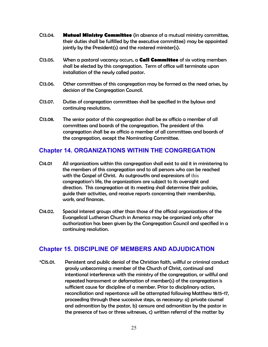- C13.04. **Mutual Ministry Committee** (in absence of a mutual ministry committee, their duties shall be fulfilled by the executive committee) may be appointed jointly by the President(s) and the rostered minister(s).
- C13.05. When a pastoral vacancy occurs, a **Call Committee** of six voting members shall be elected by this congregation. Term of office will terminate upon installation of the newly called pastor.
- C13.06. Other committees of this congregation may be formed as the need arises, by decision of the Congregation Council.
- C13.07. Duties of congregation committees shall be specified in the bylaws and continuing resolutions.
- C13.08. The senior pastor of this congregation shall be ex officio a member of all committees and boards of the congregation. The president of this congregation shall be ex officio a member of all committees and boards of the congregation, except the Nominating Committee.

## **Chapter 14. ORGANIZATIONS WITHIN THE CONGREGATION**

- C14.01 All organizations within this congregation shall exist to aid it in ministering to the members of this congregation and to all persons who can be reached with the Gospel of Christ. As outgrowths and expressions of this congregation's life, the organizations are subject to its oversight and direction. This congregation at its meeting shall determine their policies, guide their activities, and receive reports concerning their membership, work, and finances.
- C14.02. Special interest groups other than those of the official organizations of the Evangelical Lutheran Church in America may be organized only after authorization has been given by the Congregation Council and specified in a continuing resolution.

## **Chapter 15. DISCIPLINE OF MEMBERS AND ADJUDICATION**

\*C15.01. Persistent and public denial of the Christian faith, willful or criminal conduct grossly unbecoming a member of the Church of Christ, continual and intentional interference with the ministry of the congregation, or willful and repeated harassment or defamation of member(s) of the congregation is sufficient cause for discipline of a member. Prior to disciplinary action, reconciliation and repentance will be attempted following Matthew 18:15-17, proceeding through these successive steps, as necessary: a) private counsel and admonition by the pastor, b) censure and admonition by the pastor in the presence of two or three witnesses, c) written referral of the matter by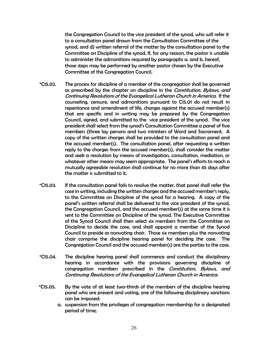the Congregation Council to the vice president of the synod, who will refer it to a consultation panel drawn from the Consultation Committee of the synod, and d) written referral of the matter by the consultation panel to the Committee on Discipline of the synod. If, for any reason, the pastor is unable to administer the admonitions required by paragraphs a. and b. hereof, those steps may be performed by another pastor chosen by the Executive Committee of the Congregation Council.

- \*C15.02. The process for discipline of a member of the congregation shall be governed as prescribed by the chapter on discipline in the *Constitution, Bylaws, and* Continuing Resolutions of the Evangelical Lutheran Church in America. If the counseling, censure, and admonitions pursuant to C15.01 do not result in repentance and amendment of life, charges against the accused member(s) that are specific and in writing may be prepared by the Congregation Council, signed, and submitted to the vice president of the synod. The vice president shall select from the synod's Consultation Committee a panel of five members (three lay persons and two ministers of Word and Sacrament. A copy of the written charges shall be provided to the consultation panel and the accused member(s). The consultation panel, after requesting a written reply to the charges from the accused member(s), shall consider the matter and seek a resolution by means of investigation, consultation, mediation, or whatever other means may seem appropriate. The panel's efforts to reach a mutually agreeable resolution shall continue for no more than 45 days after the matter is submitted to it.
- \*C15.03. If the consultation panel fails to resolve the matter, that panel shall refer the case in writing, including the written charges and the accused member's reply, to the Committee on Discipline of the synod for a hearing. A copy of the panel's written referral shall be delivered to the vice president of the synod, the Congregation Council, and the accused member(s) at the same time it is sent to the Committee on Discipline of the synod. The Executive Committee of the Synod Council shall then select six members from the Committee on Discipline to decide the case, and shall appoint a member of the Synod Council to preside as nonvoting chair. Those six members plus the nonvoting chair comprise the discipline hearing panel for deciding the case. The Congregation Council and the accused member(s) are the parties to the case.
- \*C15.04. The discipline hearing panel shall commence and conduct the disciplinary hearing in accordance with the provisions governing discipline of congregation members prescribed in the *Constitution, Bylaws, and* Continuing Resolutions of the Evangelical Lutheran Church in America.
- \*C15.05. By the vote of at least two-thirds of the members of the discipline hearing panel who are present and voting, one of the following disciplinary sanctions can be imposed:
	- a. suspension from the privileges of congregation membership for a designated period of time;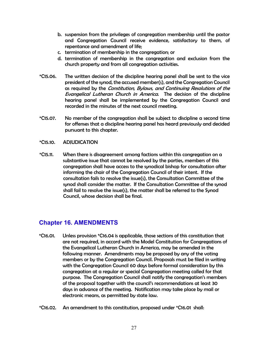- b. suspension from the privileges of congregation membership until the pastor and Congregation Council receive evidence, satisfactory to them, of repentance and amendment of life;
- c. termination of membership in the congregation; or
- d. termination of membership in the congregation and exclusion from the church property and from all congregation activities.
- \*C15.06. The written decision of the discipline hearing panel shall be sent to the vice president of the synod, the accused member(s), and the Congregation Council as required by the Constitution, Bylaws, and Continuing Resolutions of the Evangelical Lutheran Church in America. The decision of the discipline hearing panel shall be implemented by the Congregation Council and recorded in the minutes of the next council meeting.
- \*C15.07. No member of the congregation shall be subject to discipline a second time for offenses that a discipline hearing panel has heard previously and decided pursuant to this chapter.
- \*C15.10. ADJUDICATION
- \*C15.11. When there is disagreement among factions within this congregation on a substantive issue that cannot be resolved by the parties, members of this congregation shall have access to the synodical bishop for consultation after informing the chair of the Congregation Council of their intent. If the consultation fails to resolve the issue(s), the Consultation Committee of the synod shall consider the matter. If the Consultation Committee of the synod shall fail to resolve the issue(s), the matter shall be referred to the Synod Council, whose decision shall be final.

## **Chapter 16. AMENDMENTS**

- \*C16.01. Unless provision \*C16.04 is applicable, those sections of this constitution that are not required, in accord with the Model Constitution for Congregations of the Evangelical Lutheran Church in America, may be amended in the following manner. Amendments may be proposed by any of the voting members or by the Congregation Council. Proposals must be filed in writing with the Congregation Council 60 days before formal consideration by this congregation at a regular or special Congregation meeting called for that purpose. The Congregation Council shall notify the congregation's members of the proposal together with the council's recommendations at least 30 days in advance of the meeting. Notification may take place by mail or electronic means, as permitted by state law.
- \*C16.02. An amendment to this constitution, proposed under \*C16.01 shall: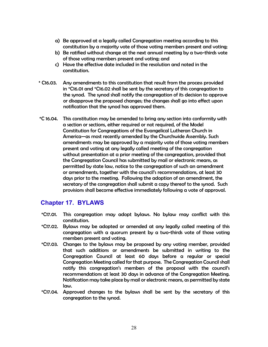- a) Be approved at a legally called Congregation meeting according to this constitution by a majority vote of those voting members present and voting;
- b) Be ratified without change at the next annual meeting by a two-thirds vote of those voting members present and voting; and
- c) Have the effective date included in the resolution and noted in the constitution.
- \* C16.03. Any amendments to this constitution that result from the process provided in \*C16.01 and \*C16.02 shall be sent by the secretary of this congregation to the synod. The synod shall notify the congregation of its decision to approve or disapprove the proposed changes; the changes shall go into effect upon notification that the synod has approved them.
- \*C 16.04. This constitution may be amended to bring any section into conformity with a section or sections, either required or not required, of the Model Constitution for Congregations of the Evangelical Lutheran Church in America—as most recently amended by the Churchwide Assembly. Such amendments may be approved by a majority vote of those voting members present and voting at any legally called meeting of the congregation without presentation at a prior meeting of the congregation, provided that the Congregation Council has submitted by mail or electronic means, as permitted by state law, notice to the congregation of such an amendment or amendments, together with the council's recommendations, at least 30 days prior to the meeting. Following the adoption of an amendment, the secretary of the congregation shall submit a copy thereof to the synod. Such provisions shall become effective immediately following a vote of approval.

#### **Chapter 17. BYLAWS**

- \*C17.01. This congregation may adopt bylaws. No bylaw may conflict with this constitution.
- \*C17.02. Bylaws may be adopted or amended at any legally called meeting of this congregation with a quorum present by a two-thirds vote of those voting members present and voting.
- \*C17.03. Changes to the bylaws may be proposed by any voting member, provided that such additions or amendments be submitted in writing to the Congregation Council at least 60 days before a regular or special Congregation Meeting called for that purpose. The Congregation Council shall notify this congregation's members of the proposal with the council's recommendations at least 30 days in advance of the Congregation Meeting. Notification may take place by mail or electronic means, as permitted by state law.
- \*C17.04. Approved changes to the bylaws shall be sent by the secretary of this congregation to the synod.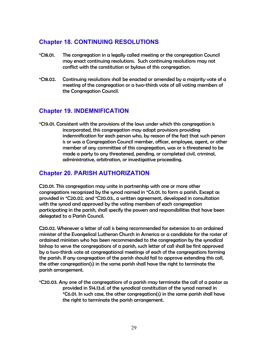## **Chapter 18. CONTINUING RESOLUTIONS**

- \*C18.01. The congregation in a legally called meeting or the congregation Council may enact continuing resolutions. Such continuing resolutions may not conflict with the constitution or bylaws of this congregation.
- \*C18.02. Continuing resolutions shall be enacted or amended by a majority vote of a meeting of the congregation or a two-thirds vote of all voting members of the Congregation Council.

#### **Chapter 19. INDEMNIFICATION**

\*C19.01. Consistent with the provisions of the laws under which this congregation is incorporated, this congregation may adopt provisions providing indemnification for each person who, by reason of the fact that such person is or was a Congregation Council member, officer, employee, agent, or other member of any committee of this congregation, was or is threatened to be made a party to any threatened, pending, or completed civil, criminal, administrative, arbitration, or investigative proceeding.

## **Chapter 20. PARISH AUTHORIZATION**

C20.01. This congregation may unite in partnership with one or more other congregations recognized by the synod named in \*C6.01. to form a parish. Except as provided in \*C20.02. and \*C20.03., a written agreement, developed in consultation with the synod and approved by the voting members of each congregation participating in the parish, shall specify the powers and responsibilities that have been delegated to a Parish Council.

C20.02. Whenever a letter of call is being recommended for extension to an ordained minister of the Evangelical Lutheran Church in America or a candidate for the roster of ordained ministers who has been recommended to the congregation by the synodical bishop to serve the congregations of a parish, such letter of call shall be first approved by a two-thirds vote at congregational meetings of each of the congregations forming the parish. If any congregation of the parish should fail to approve extending this call, the other congregation(s) in the same parish shall have the right to terminate the parish arrangement.

\*C20.03. Any one of the congregations of a parish may terminate the call of a pastor as provided in S14.13.d. of the synodical constitution of the synod named in \*C6.01. In such case, the other congregation(s) in the same parish shall have the right to terminate the parish arrangement.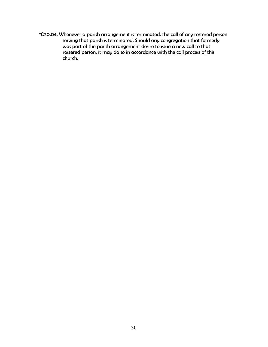\*C20.04. Whenever a parish arrangement is terminated, the call of any rostered person serving that parish is terminated. Should any congregation that formerly was part of the parish arrangement desire to issue a new call to that rostered person, it may do so in accordance with the call process of this church.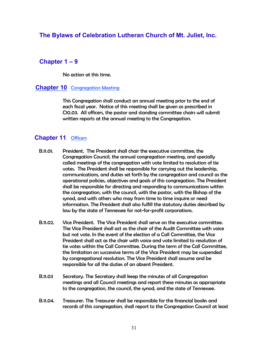#### **The Bylaws of Celebration Lutheran Church of Mt. Juliet, Inc.**

#### **Chapter 1 – 9**

No action at this time.

#### **Chapter 10** Congregation Meeting

 This Congregation shall conduct an annual meeting prior to the end of each fiscal year. Notice of this meeting shall be given as prescribed in C10.03. All officers, the pastor and standing committee chairs will submit written reports at the annual meeting to the Congregation.

#### **Chapter 11** Officers

- B.11.01. President. The President shall chair the executive committee, the Congregation Council, the annual congregation meeting, and specially called meetings of the congregation with vote limited to resolution of tie votes. The President shall be responsible for carrying out the leadership, communications, and duties set forth by the congregation and council as the operational policies, objectives and goals of this congregation. The President shall be responsible for directing and responding to communications within the congregation, with the council, with the pastor, with the Bishop of the synod, and with others who may from time to time inquire or need information. The President shall also fulfill the statutory duties described by law by the state of Tennessee for not-for-profit corporations.
- B.11.02. Vice President. The Vice President shall serve on the executive committee. The Vice President shall act as the chair of the Audit Committee with voice but not vote. In the event of the election of a Call Committee, the Vice President shall act as the chair with voice and vote limited to resolution of tie votes within the Call Committee. During the term of the Call Committee, the limitation on successive terms of the Vice President may be suspended by congregational resolution. The Vice President shall assume and be responsible for all the duties of an absent President.
- B.11.03 Secretary. The Secretary shall keep the minutes of all Congregation meetings and all Council meetings and report these minutes as appropriate to the congregation, the council, the synod, and the state of Tennessee.
- B.11.04. Treasurer. The Treasurer shall be responsible for the financial books and records of this congregation, shall report to the Congregation Council at least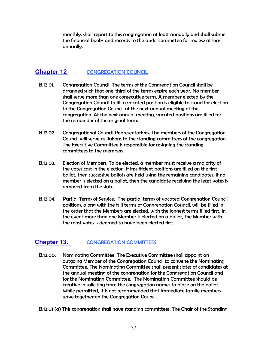monthly, shall report to this congregation at least annually and shall submit the financial books and records to the audit committee for review at least annually.

#### **Chapter 12 CONGREGATION COUNCIL**

- B.12.01. Congregation Council. The terms of the Congregation Council shall be arranged such that one-third of the terms expire each year. No member shall serve more than one consecutive term. A member elected by the Congregation Council to fill a vacated position is eligible to stand for election to the Congregation Council at the next annual meeting of the congregation. At the next annual meeting, vacated positions are filled for the remainder of the original term.
- B.12.02. Congregational Council Representatives. The members of the Congregation Council will serve as liaisons to the standing committees of the congregation. The Executive Committee is responsible for assigning the standing committees to the members.
- B.12.03. Election of Members. To be elected, a member must receive a majority of the votes cast in the election. If insufficient positions are filled on the first ballot, then successive ballots are held using the remaining candidates. If no member is elected on a ballot, then the candidate receiving the least votes is removed from the slate.
- B.12.04. Partial Terms of Service. The partial terms of vacated Congregation Council positions, along with the full terms of Congregation Council, will be filled in the order that the Members are elected, with the longest terms filled first. In the event more than one Member is elected on a ballot, the Member with the most votes is deemed to have been elected first.

#### **Chapter 13. CONGREGATION COMMITTEES**

- B.13.00. Nominating Committee. The Executive Committee shall appoint an outgoing Member of the Congregation Council to convene the Nominating Committee. The Nominating Committee shall present slates of candidates at the annual meeting of the congregation for the Congregation Council and for the Nominating Committee. The Nominating Committee should be creative in soliciting from the congregation names to place on the ballot. While permitted, it is not recommended that immediate family members serve together on the Congregation Council.
- B.13.01 (a) This congregation shall have standing committees. The Chair of the Standing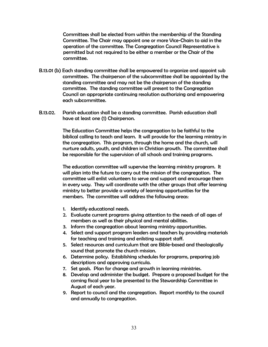Committees shall be elected from within the membership of the Standing Committee. The Chair may appoint one or more Vice-Chairs to aid in the operation of the committee. The Congregation Council Representative is permitted but not required to be either a member or the Chair of the committee.

- B.13.01 (b) Each standing committee shall be empowered to organize and appoint sub committees. The chairperson of the subcommittee shall be appointed by the standing committee and may not be the chairperson of the standing committee. The standing committee will present to the Congregation Council an appropriate continuing resolution authorizing and empowering each subcommittee.
- B.13.02. Parish education shall be a standing committee. Parish education shall have at least one (1) Chairperson.

 The Education Committee helps the congregation to be faithful to the biblical calling to teach and learn. It will provide for the learning ministry in the congregation. This program, through the home and the church, will nurture adults, youth, and children in Christian growth. The committee shall be responsible for the supervision of all schools and training programs.

 The education committee will supervise the learning ministry program. It will plan into the future to carry out the mission of the congregation. The committee will enlist volunteers to serve and support and encourage them in every way. They will coordinate with the other groups that offer learning ministry to better provide a variety of learning opportunities for the members. The committee will address the following areas:

- 1. Identify educational needs.
- 2. Evaluate current programs giving attention to the needs of all ages of members as well as their physical and mental abilities.
- 3. Inform the congregation about learning ministry opportunities.
- 4. Select and support program leaders and teachers by providing materials for teaching and training and enlisting support staff.
- 5. Select resources and curriculum that are Bible-based and theologically sound that promote the church mission.
- 6. Determine policy. Establishing schedules for programs, preparing job descriptions and approving curricula.
- 7. Set goals. Plan for change and growth in learning ministries.
- 8. Develop and administer the budget. Prepare a proposed budget for the coming fiscal year to be presented to the Stewardship Committee in August of each year.
- 9. Report to council and the congregation. Report monthly to the council and annually to congregation.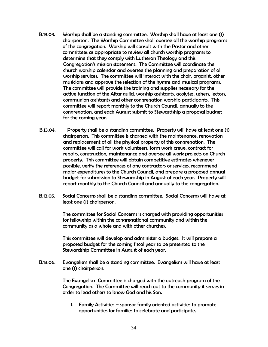- B.13.03. Worship shall be a standing committee. Worship shall have at least one (1) chairperson. The Worship Committee shall oversee all the worship programs of the congregation. Worship will consult with the Pastor and other committees as appropriate to review all church worship programs to determine that they comply with Lutheran Theology and this Congregation's mission statement. The Committee will coordinate the church worship calendar and oversee the planning and preparation of all worship services. The committee will interact with the choir, organist, other musicians and approve the selection of the hymns and musical programs. The committee will provide the training and supplies necessary for the active function of the Altar guild, worship assistants, acolytes, ushers, lectors, communion assistants and other congregation worship participants. This committee will report monthly to the Church Council, annually to the congregation, and each August submit to Stewardship a proposal budget for the coming year.
- B.13.04. Property shall be a standing committee. Property will have at least one (1) chairperson. This committee is charged with the maintenance, renovation and replacement of all the physical property of this congregation. The committee will call for work volunteers, form work crews, contract for repairs, construction, maintenance and oversee all work projects on Church property. This committee will obtain competitive estimates whenever possible, verify the references of any contractors or services, recommend major expenditures to the Church Council, and prepare a proposed annual budget for submission to Stewardship in August of each year. Property will report monthly to the Church Council and annually to the congregation.
- B.13.05. Social Concerns shall be a standing committee. Social Concerns will have at least one (1) chairperson.

 The committee for Social Concerns is charged with providing opportunities for fellowship within the congregational community and within the community as a whole and with other churches.

 This committee will develop and administer a budget. It will prepare a proposed budget for the coming fiscal year to be presented to the Stewardship Committee in August of each year.

B.13.06. Evangelism shall be a standing committee. Evangelism will have at least one (1) chairperson.

> The Evangelism Committee is charged with the outreach program of the Congregation. The Committee will reach out to the community it serves in order to lead others to know God and his Son.

1. Family Activities – sponsor family oriented activities to promote opportunities for families to celebrate and participate.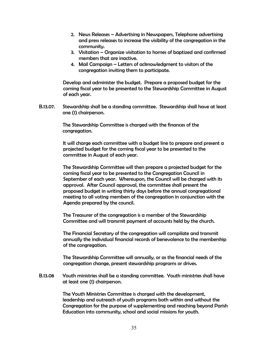- 2. News Releases Advertising in Newspapers, Telephone advertising and press releases to increase the visibility of the congregation in the community.
- 3. Visitation Organize visitation to homes of baptized and confirmed members that are inactive.
- 4. Mail Campaign Letters of acknowledgment to visitors of the congregation inviting them to participate.

Develop and administer the budget. Prepare a proposed budget for the coming fiscal year to be presented to the Stewardship Committee in August of each year.

B.13.07. Stewardship shall be a standing committee. Stewardship shall have at least one (1) chairperson.

> The Stewardship Committee is charged with the finances of the congregation.

It will charge each committee with a budget line to prepare and present a projected budget for the coming fiscal year to be presented to the committee in August of each year.

The Stewardship Committee will then prepare a projected budget for the coming fiscal year to be presented to the Congregation Council in September of each year. Whereupon, the Council will be charged with its approval. After Council approval, the committee shall present the proposed budget in writing thirty days before the annual congregational meeting to all voting members of the congregation in conjunction with the Agenda prepared by the council.

The Treasurer of the congregation is a member of the Stewardship Committee and will transmit payment of accounts held by the church.

The Financial Secretary of the congregation will compilate and transmit annually the individual financial records of benevolence to the membership of the congregation.

The Stewardship Committee will annually, or as the financial needs of the congregation change, present stewardship programs or drives.

B.13.08 Youth ministries shall be a standing committee. Youth ministries shall have at least one (1) chairperson.

> The Youth Ministries Committee is charged with the development, leadership and outreach of youth programs both within and without the Congregation for the purpose of supplementing and reaching beyond Parish Education into community, school and social missions for youth.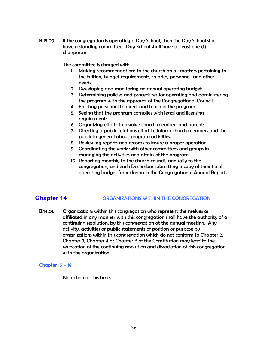B.13.09. If the congregation is operating a Day School, then the Day School shall have a standing committee. Day School shall have at least one (1) chairperson.

The committee is charged with:

- 1. Making recommendations to the church on all matters pertaining to the tuition, budget requirements, salaries, personnel, and other needs.
- 2. Developing and monitoring an annual operating budget.
- 3. Determining policies and procedures for operating and administering the program with the approval of the Congregational Council.
- 4. Enlisting personnel to direct and teach in the program.
- 5. Seeing that the program complies with legal and licensing requirements.
- 6. Organizing efforts to involve church members and parents.
- 7. Directing a public relations effort to inform church members and the public in general about program activities.
- 8. Reviewing reports and records to insure a proper operation.
- 9. Coordinating the work with other committees and groups in managing the activities and affairs of the program.
- 10. Reporting monthly to the church council, annually to the congregation, and each December submitting a copy of their fiscal operating budget for inclusion in the Congregational Annual Report.

#### **Chapter 14 CONGANIZATIONS WITHIN THE CONGREGATION**

B.14.01. Organizations within this congregation who represent themselves as affiliated in any manner with this congregation shall have the authority of a continuing resolution, by this congregation at the annual meeting. Any activity, activities or public statements of position or purpose by organizations within this congregation which do not conform to Chapter 2, Chapter 3, Chapter 4 or Chapter 6 of the Constitution may lead to the revocation of the continuing resolution and dissociation of this congregation with the organization.

#### Chapter  $15 - 18$

No action at this time.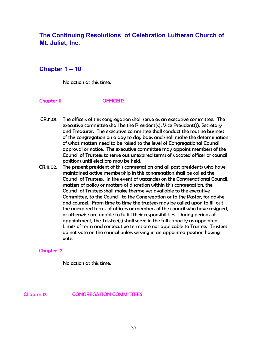## **The Continuing Resolutions of Celebration Lutheran Church of Mt. Juliet, Inc.**

#### **Chapter 1 – 10**

No action at this time.

#### Chapter 11 OFFICERS

- CR.11.01. The officers of this congregation shall serve as an executive committee. The executive committee shall be the President(s), Vice President(s), Secretary and Treasurer. The executive committee shall conduct the routine business of this congregation on a day to day basis and shall make the determination of what matters need to be raised to the level of Congregational Council approval or notice. The executive committee may appoint members of the Council of Trustees to serve out unexpired terms of vacated officer or council positions until elections may be held.
- CR.11.02. The present president of this congregation and all past presidents who have maintained active membership in this congregation shall be called the Council of Trustees. In the event of vacancies on the Congregational Council, matters of policy or matters of discretion within this congregation, the Council of Trustees shall make themselves available to the executive Committee, to the Council, to the Congregation or to the Pastor, for advise and counsel. From time to time the trustees may be called upon to fill out the unexpired terms of officers or members of the council who have resigned, or otherwise are unable to fulfill their responsibilities. During periods of appointment, the Trustee(s) shall serve in the full capacity as appointed. Limits of term and consecutive terms are not applicable to Trustee. Trustees do not vote on the council unless serving in an appointed position having vote.

#### Chapter 12

No action at this time.

Chapter 13 CONGREGATION COMMITTEES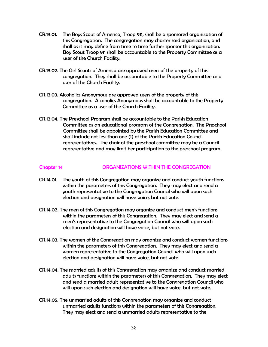- CR.13.01. The Boys Scout of America, Troop 911, shall be a sponsored organization of this Congregation. The congregation may charter said organization, and shall as it may define from time to time further sponsor this organization. Boy Scout Troop 911 shall be accountable to the Property Committee as a user of the Church Facility.
- CR.13.02. The Girl Scouts of America are approved users of the property of this congregation. They shall be accountable to the Property Committee as a user of the Church Facility.
- CR.13.03. Alcoholics Anonymous are approved users of the property of this congregation. Alcoholics Anonymous shall be accountable to the Property Committee as a user of the Church Facility.
- CR.13.04. The Preschool Program shall be accountable to the Parish Education Committee as an educational program of the Congregation. The Preschool Committee shall be appointed by the Parish Education Committee and shall include not less than one (1) of the Parish Education Council representatives. The chair of the preschool committee may be a Council representative and may limit her participation to the preschool program.

#### Chapter 14 ORGANIZATIONS WITHIN THE CONGREGATION

- CR.14.01. The youth of this Congregation may organize and conduct youth functions within the parameters of this Congregation. They may elect and send a youth representative to the Congregation Council who will upon such election and designation will have voice, but not vote.
- CR.14.02. The men of this Congregation may organize and conduct men's functions within the parameters of this Congregation. They may elect and send a men's representative to the Congregation Council who will upon such election and designation will have voice, but not vote.
- CR.14.03. The women of the Congregation may organize and conduct women functions within the parameters of this Congregation. They may elect and send a women representative to the Congregation Council who will upon such election and designation will have voice, but not vote.
- CR.14.04. The married adults of this Congregation may organize and conduct married adults functions within the parameters of this Congregation. They may elect and send a married adult representative to the Congregation Council who will upon such election and designation will have voice, but not vote.
- CR.14.05. The unmarried adults of this Congregation may organize and conduct unmarried adults functions within the parameters of this Congregation. They may elect and send a unmarried adults representative to the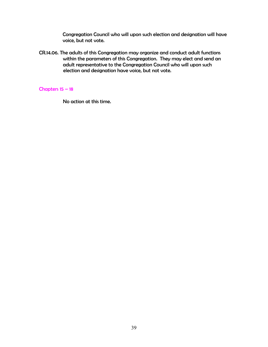Congregation Council who will upon such election and designation will have voice, but not vote.

CR.14.06. The adults of this Congregation may organize and conduct adult functions within the parameters of this Congregation. They may elect and send an adult representative to the Congregation Council who will upon such election and designation have voice, but not vote.

#### Chapters 15 – 18

No action at this time.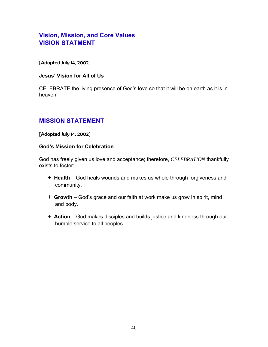## **Vision, Mission, and Core Values VISION STATMENT**

[Adopted July 14, 2002]

#### **Jesus' Vision for All of Us**

CELEBRATE the living presence of God's love so that it will be on earth as it is in heaven!

## **MISSION STATEMENT**

[Adopted July 14, 2002]

#### **God's Mission for Celebration**

God has freely given us love and acceptance; therefore, *CELEBRATION* thankfully exists to foster:

- + **Health** God heals wounds and makes us whole through forgiveness and community.
- + **Growth** God's grace and our faith at work make us grow in spirit, mind and body.
- + **Action** God makes disciples and builds justice and kindness through our humble service to all peoples.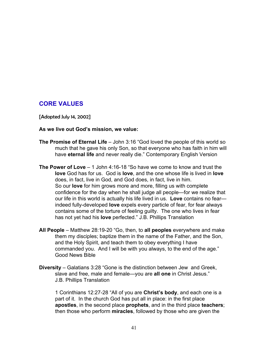#### **CORE VALUES**

[Adopted July 14, 2002]

#### **As we live out God's mission, we value:**

- **The Promise of Eternal Life** John 3:16 "God loved the people of this world so much that he gave his only Son, so that everyone who has faith in him will have **eternal life** and never really die." Contemporary English Version
- **The Power of Love** 1 John 4:16-18 "So have we come to know and trust the **love** God has for us. God is **love**, and the one whose life is lived in **love** does, in fact, live in God, and God does, in fact, live in him. So our **love** for him grows more and more, filling us with complete confidence for the day when he shall judge all people—for we realize that our life in this world is actually his life lived in us. **Love** contains no fear indeed fully-developed **love** expels every particle of fear, for fear always contains some of the torture of feeling guilty. The one who lives in fear has not yet had his **love** perfected." J.B. Phillips Translation
- **All People** Matthew 28:19-20 "Go, then, to **all peoples** everywhere and make them my disciples; baptize them in the name of the Father, and the Son, and the Holy Spirit, and teach them to obey everything I have commanded you. And I will be with you always, to the end of the age." Good News Bible
- **Diversity**  Galatians 3:28 "Gone is the distinction between Jew and Greek, slave and free, male and female—you are **all one** in Christ Jesus." J.B. Phillips Translation

1 Corinthians 12:27-28 "All of you are **Christ's body**, and each one is a part of it. In the church God has put all in place: in the first place **apostles**, in the second place **prophets**, and in the third place **teachers**; then those who perform **miracles**, followed by those who are given the